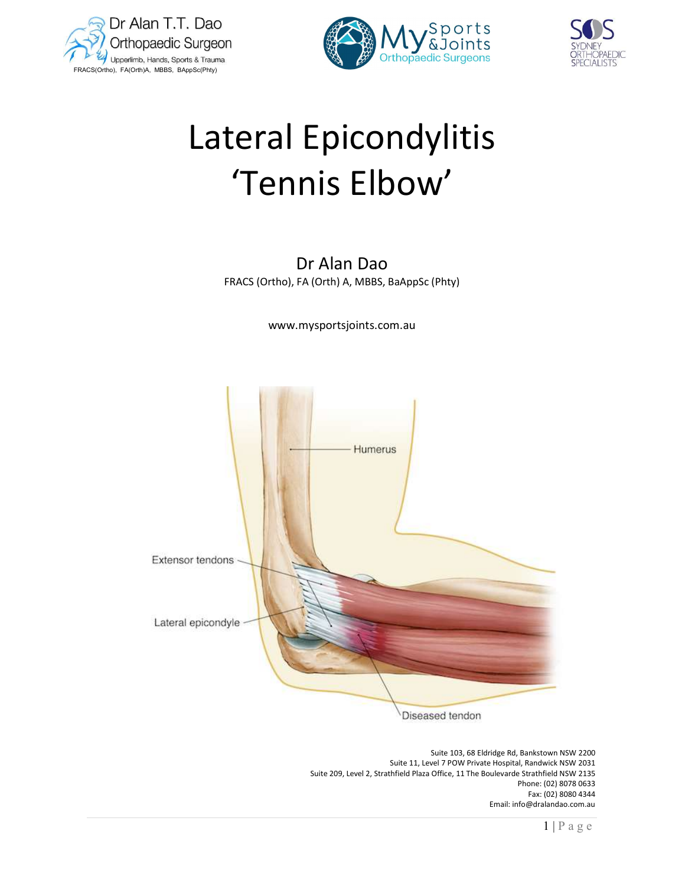





# Lateral Epicondylitis 'Tennis Elbow'

Dr Alan Dao FRACS (Ortho), FA (Orth) A, MBBS, BaAppSc (Phty)

www.mysportsjoints.com.au



 Suite 103, 68 Eldridge Rd, Bankstown NSW 2200 Suite 11, Level 7 POW Private Hospital, Randwick NSW 2031 Suite 209, Level 2, Strathfield Plaza Office, 11 The Boulevarde Strathfield NSW 2135 Phone: (02) 8078 0633 Fax: (02) 8080 4344 Email: info@dralandao.com.au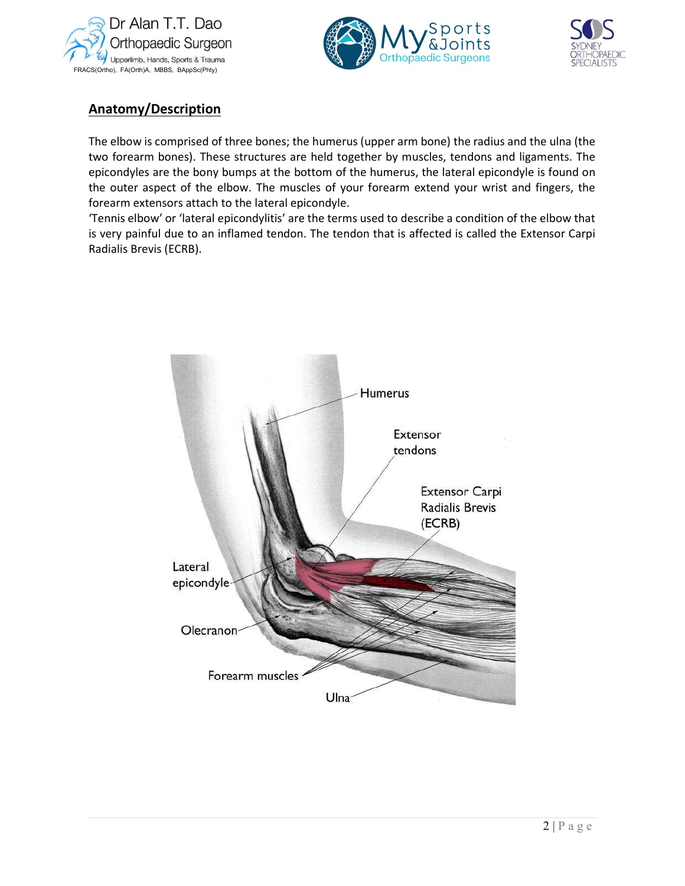





# Anatomy/Description

The elbow is comprised of three bones; the humerus (upper arm bone) the radius and the ulna (the two forearm bones). These structures are held together by muscles, tendons and ligaments. The epicondyles are the bony bumps at the bottom of the humerus, the lateral epicondyle is found on the outer aspect of the elbow. The muscles of your forearm extend your wrist and fingers, the forearm extensors attach to the lateral epicondyle.

'Tennis elbow' or 'lateral epicondylitis' are the terms used to describe a condition of the elbow that is very painful due to an inflamed tendon. The tendon that is affected is called the Extensor Carpi Radialis Brevis (ECRB).

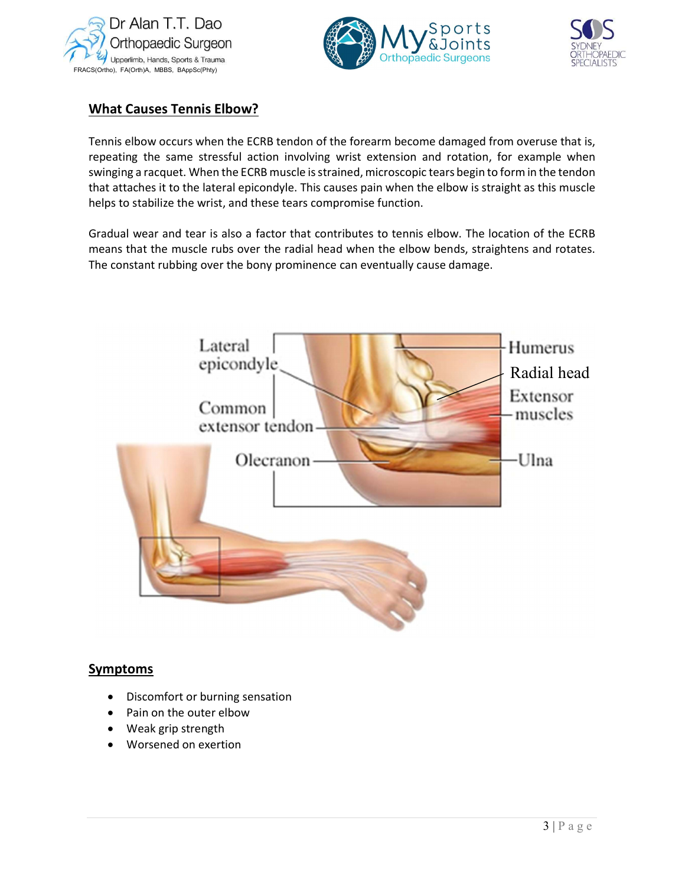





# What Causes Tennis Elbow?

Tennis elbow occurs when the ECRB tendon of the forearm become damaged from overuse that is, repeating the same stressful action involving wrist extension and rotation, for example when swinging a racquet. When the ECRB muscle is strained, microscopic tears begin to form in the tendon that attaches it to the lateral epicondyle. This causes pain when the elbow is straight as this muscle helps to stabilize the wrist, and these tears compromise function.

Gradual wear and tear is also a factor that contributes to tennis elbow. The location of the ECRB means that the muscle rubs over the radial head when the elbow bends, straightens and rotates. The constant rubbing over the bony prominence can eventually cause damage.



## **Symptoms**

- Discomfort or burning sensation
- Pain on the outer elbow
- Weak grip strength
- Worsened on exertion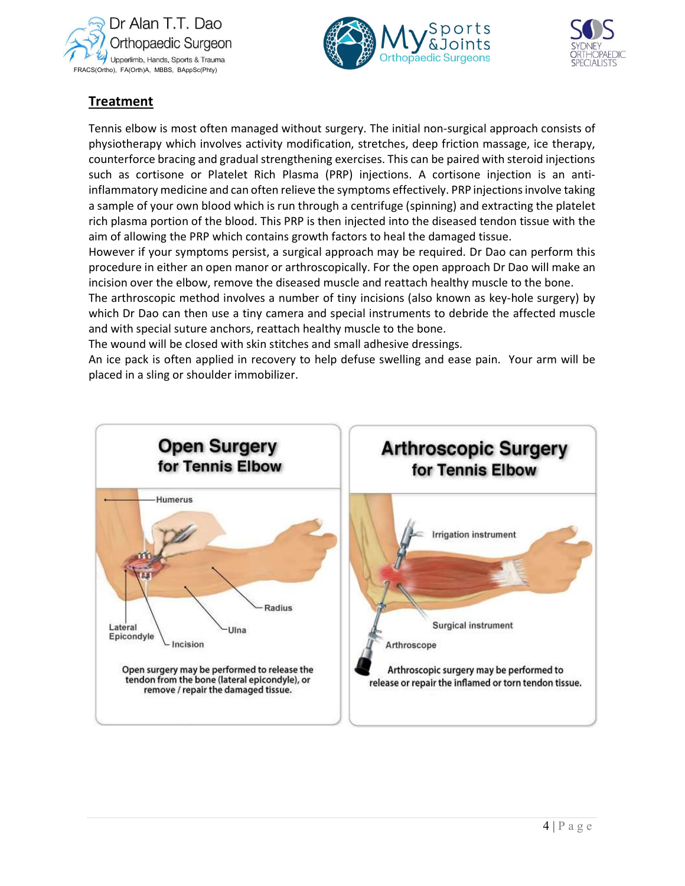





# Treatment

Tennis elbow is most often managed without surgery. The initial non-surgical approach consists of physiotherapy which involves activity modification, stretches, deep friction massage, ice therapy, counterforce bracing and gradual strengthening exercises. This can be paired with steroid injections such as cortisone or Platelet Rich Plasma (PRP) injections. A cortisone injection is an antiinflammatory medicine and can often relieve the symptoms effectively. PRP injections involve taking a sample of your own blood which is run through a centrifuge (spinning) and extracting the platelet rich plasma portion of the blood. This PRP is then injected into the diseased tendon tissue with the aim of allowing the PRP which contains growth factors to heal the damaged tissue.

However if your symptoms persist, a surgical approach may be required. Dr Dao can perform this procedure in either an open manor or arthroscopically. For the open approach Dr Dao will make an incision over the elbow, remove the diseased muscle and reattach healthy muscle to the bone.

The arthroscopic method involves a number of tiny incisions (also known as key-hole surgery) by which Dr Dao can then use a tiny camera and special instruments to debride the affected muscle and with special suture anchors, reattach healthy muscle to the bone.

The wound will be closed with skin stitches and small adhesive dressings.

An ice pack is often applied in recovery to help defuse swelling and ease pain. Your arm will be placed in a sling or shoulder immobilizer.